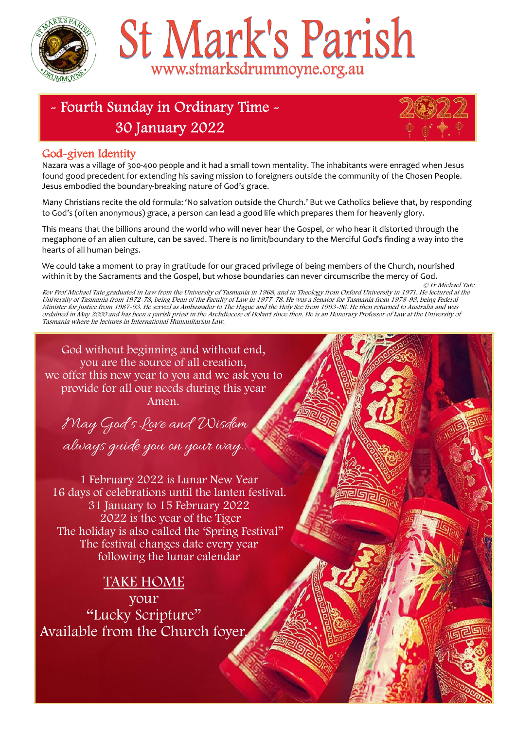

# St Mark's Parish www.stmarksdrummoyne.org.au

# - Fourth Sunday in Ordinary Time -**30 January 2022**



### God-given Identity

Nazara was a village of 300-400 people and it had a small town mentality. The inhabitants were enraged when Jesus found good precedent for extending his saving mission to foreigners outside the community of the Chosen People. Jesus embodied the boundary-breaking nature of God's grace.

Many Christians recite the old formula: 'No salvation outside the Church.' But we Catholics believe that, by responding to God's (often anonymous) grace, a person can lead a good life which prepares them for heavenly glory.

This means that the billions around the world who will never hear the Gospel, or who hear it distorted through the megaphone of an alien culture, can be saved. There is no limit/boundary to the Merciful God's finding a way into the hearts of all human beings.

We could take a moment to pray in gratitude for our graced privilege of being members of the Church, nourished within it by the Sacraments and the Gospel, but whose boundaries can never circumscribe the mercy of God.

© Fr Michael Tate Rev Prof Michael Tate graduated in Law from the University of Tasmania in 1968, and in Theology from Oxford University in 1971. He lectured at the University of Tasmania from 1972-78, being Dean of the Faculty of Law in 1977-78. He was a Senator for Tasmania from 1978-93, being Federal Minister for Justice from 1987-93. He served as Ambassador to The Hague and the Holy See from 1993-96. He then returned to Australia and was ordained in May 2000 and has been a parish priest in the Archdiocese of Hobart since then. He is an Honorary Professor of Law at the University of Tasmania where he lectures in International Humanitarian Law.

God without beginning and without end, you are the source of all creation, we offer this new year to you and we ask you to provide for all our needs during this year Amen.

May God's Love and Wisdom always guide you on your way..

1 February 2022 is Lunar New Year 16 days of celebrations until the lanten festival. 31 January to 15 February 2022 2022 is the year of the Tiger The holiday is also called the 'Spring Festival" The festival changes date every year following the lunar calendar

TAKE HOME your "Lucky Scripture" Available from the Church foyer.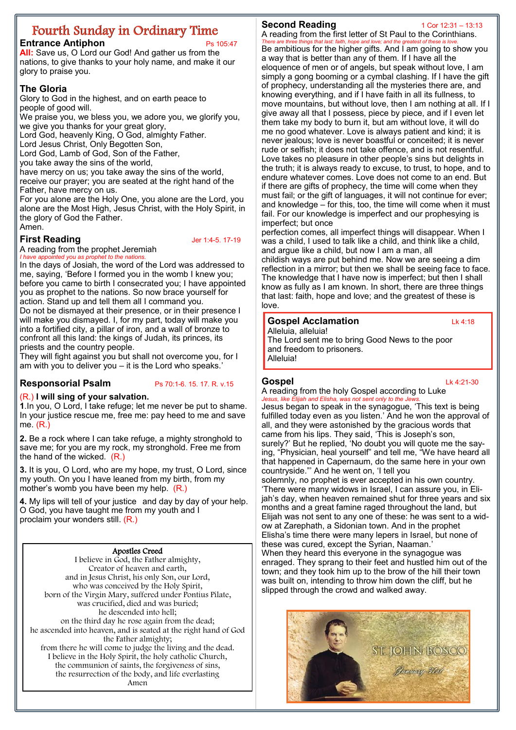# **Fourth Sunday in Ordinary Time**

**Entrance Antiphon** Ps 105:47

**All:** Save us, O Lord our God! And gather us from the nations, to give thanks to your holy name, and make it our glory to praise you.

#### **The Gloria**

Glory to God in the highest, and on earth peace to people of good will.

We praise you, we bless you, we adore you, we glorify you, we give you thanks for your great glory,

Lord God, heavenly King, O God, almighty Father.

Lord Jesus Christ, Only Begotten Son,

Lord God, Lamb of God, Son of the Father,

you take away the sins of the world,

have mercy on us; you take away the sins of the world,

receive our prayer; you are seated at the right hand of the Father, have mercy on us.

For you alone are the Holy One, you alone are the Lord, you alone are the Most High, Jesus Christ, with the Holy Spirit, in the glory of God the Father.

## Amen.

**First Reading** *Jer 1:4-5. 17-19* 

A reading from the prophet Jeremiah *I have appointed you as prophet to the natio.* 

In the days of Josiah, the word of the Lord was addressed to me, saying, 'Before I formed you in the womb I knew you; before you came to birth I consecrated you; I have appointed you as prophet to the nations. So now brace yourself for action. Stand up and tell them all I command you. Do not be dismayed at their presence, or in their presence I

will make you dismayed. I, for my part, today will make you into a fortified city, a pillar of iron, and a wall of bronze to confront all this land: the kings of Judah, its princes, its priests and the country people.

They will fight against you but shall not overcome you, for I am with you to deliver you – it is the Lord who speaks.'

#### **Responsorial Psalm** Ps 70:1-6. 15. 17. R. v.15

#### (R.) **I will sing of your salvation.**

**1**.In you, O Lord, I take refuge; let me never be put to shame. In your justice rescue me, free me: pay heed to me and save me. (R.)

**2.** Be a rock where I can take refuge, a mighty stronghold to save me; for you are my rock, my stronghold. Free me from the hand of the wicked. (R.)

**3.** It is you, O Lord, who are my hope, my trust, O Lord, since my youth. On you I have leaned from my birth, from my mother's womb you have been my help. (R.)

**4.** My lips will tell of your justice and day by day of your help. O God, you have taught me from my youth and I proclaim your wonders still. (R.)

#### Apostles Creed

I believe in God, the Father almighty, Creator of heaven and earth, and in Jesus Christ, his only Son, our Lord, who was conceived by the Holy Spirit, born of the Virgin Mary, suffered under Pontius Pilate, was crucified, died and was buried; he descended into hell; on the third day he rose again from the dead; he ascended into heaven, and is seated at the right hand of God the Father almighty; from there he will come to judge the living and the dead. I believe in the Holy Spirit, the holy catholic Church, the communion of saints, the forgiveness of sins, the resurrection of the body, and life everlasting Amen

#### **Second Reading** 1 Cor 12:31 – 13:13

A reading from the first letter of St Paul to the Corinthians. *things that last: faith, hope and* Be ambitious for the higher gifts. And I am going to show you a way that is better than any of them. If I have all the eloquence of men or of angels, but speak without love, I am simply a gong booming or a cymbal clashing. If I have the gift of prophecy, understanding all the mysteries there are, and knowing everything, and if I have faith in all its fullness, to move mountains, but without love, then I am nothing at all. If I give away all that I possess, piece by piece, and if I even let them take my body to burn it, but am without love, it will do me no good whatever. Love is always patient and kind; it is never jealous; love is never boastful or conceited; it is never rude or selfish; it does not take offence, and is not resentful. Love takes no pleasure in other people's sins but delights in the truth; it is always ready to excuse, to trust, to hope, and to endure whatever comes. Love does not come to an end. But if there are gifts of prophecy, the time will come when they must fail; or the gift of languages, it will not continue for ever; and knowledge – for this, too, the time will come when it must fail. For our knowledge is imperfect and our prophesying is imperfect; but once

perfection comes, all imperfect things will disappear. When I was a child, I used to talk like a child, and think like a child, and argue like a child, but now I am a man, all

childish ways are put behind me. Now we are seeing a dim reflection in a mirror; but then we shall be seeing face to face. The knowledge that I have now is imperfect; but then I shall know as fully as I am known. In short, there are three things that last: faith, hope and love; and the greatest of these is love.

#### **Gospel Acclamation Lk 4:18**

Alleluia, alleluia! The Lord sent me to bring Good News to the poor and freedom to prisoners. Alleluia!

# A reading from the holy Gospel according to Luke

**Gospel** Lk 4:21-30

*Jesus, like Elijah and Elisha, was not sent only to the Jews.* Jesus began to speak in the synagogue, 'This text is being fulfilled today even as you listen.' And he won the approval of all, and they were astonished by the gracious words that came from his lips. They said, 'This is Joseph's son, surely?' But he replied, 'No doubt you will quote me the saying, "Physician, heal yourself" and tell me, "We have heard all that happened in Capernaum, do the same here in your own countryside."' And he went on, 'I tell you solemnly, no prophet is ever accepted in his own country. 'There were many widows in Israel, I can assure you, in Elijah's day, when heaven remained shut for three years and six months and a great famine raged throughout the land, but Elijah was not sent to any one of these: he was sent to a widow at Zarephath, a Sidonian town. And in the prophet Elisha's time there were many lepers in Israel, but none of

these was cured, except the Syrian, Naaman.' When they heard this everyone in the synagogue was enraged. They sprang to their feet and hustled him out of the town; and they took him up to the brow of the hill their town was built on, intending to throw him down the cliff, but he slipped through the crowd and walked away.

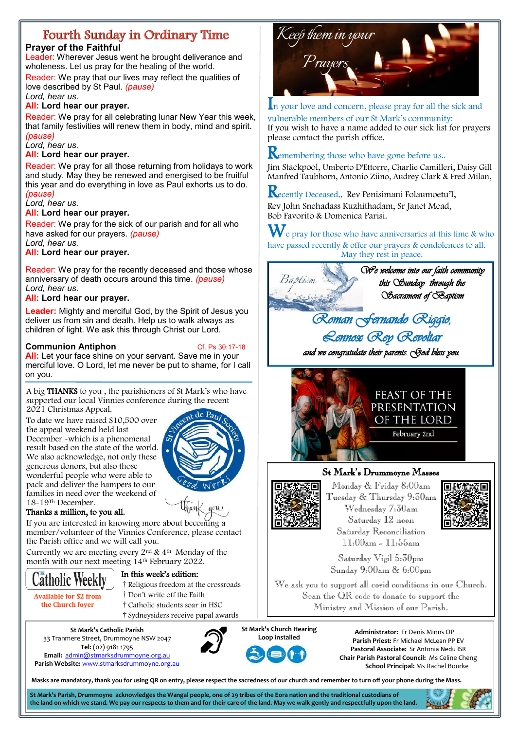# Fourth Sunday in Ordinary Time

#### **Prayer of the Faithful**

Leader: Wherever Jesus went he brought deliverance and wholeness. Let us pray for the healing of the world.

Reader: We pray that our lives may reflect the qualities of love described by St Paul. *(pause)* 

*Lord, hear us.*

#### **All: Lord hear our prayer.**

Reader: We pray for all celebrating lunar New Year this week, that family festivities will renew them in body, mind and spirit. *(pause)* 

#### *Lord, hear us.*

#### **All: Lord hear our prayer.**

Reader: We pray for all those returning from holidays to work and study. May they be renewed and energised to be fruitful this year and do everything in love as Paul exhorts us to do. *(pause)* 

#### *Lord, hear us.*

#### **All: Lord hear our prayer.**

Reader: We pray for the sick of our parish and for all who have asked for our prayers. *(pause) Lord, hear us.*

#### **All: Lord hear our prayer.**

Reader: We pray for the recently deceased and those whose anniversary of death occurs around this time. *(pause) Lord, hear us.*

#### **All: Lord hear our prayer.**

**Leader:** Mighty and merciful God, by the Spirit of Jesus you deliver us from sin and death. Help us to walk always as children of light. We ask this through Christ our Lord.

#### **Communion Antiphon**<br> **Cf. Ps 30:17-18**

**All:** Let your face shine on your servant. Save me in your merciful love. O Lord, let me never be put to shame, for I call on you.

A big THANKS to you , the parishioners of St Mark's who have supported our local Vinnies conference during the recent 2021 Christmas Appeal.

To date we have raised \$10,500 over the appeal weekend held last December -which is a phenomenal result based on the state of the world. We also acknowledge, not only these generous donors, but also those wonderful people who were able to pack and deliver the hampers to our families in need over the weekend of 18-19Th December.



#### Thanks a million, to you all.

If you are interested in knowing more about becoming a member/volunteer of the Vinnies Conference, please contact the Parish office and we will call you.

Currently we are meeting every 2nd & 4th Monday of the [month with our next mee](https://www.catholicweekly.com.au/)ting 14th February 2022.

#### In this week's edition:

- †Religious freedom at the crossroads †Don't write off the Faith
- **Available for \$2 from the Church foyer**

**Catholic Weekly** 

†Catholic students soar in HSC †Sydneysiders receive papal awards

**St Mark's Catholic Parish**  33 Tranmere Street, Drummoyne NSW 2047 **Tel:** (02) 9181 1795 **Email:** [admin@stmarksdrummoyne.org.au](https://www.stmarksdrummoyne.org.au/contact-us/)  **Parish Website:** [www.stmarksdrummoyne.org.au](https://www.stmarksdrummoyne.org.au/)





In your love and concern, please pray for all the sick and vulnerable members of our St Mark's community: If you wish to have a name added to our sick list for prayers please contact the parish office.

#### **R**emembering those who have gone before us..

Jim Stackpool, Umberto D'Ettorre, Charlie Camilleri, Daisy Gill Manfred Taubhorn, Antonio Ziino, Audrey Clark & Fred Milan,

Recently Deceased.. Rev Penisimani Folaumoetu'I, Rev John Snehadass Kuzhithadam, Sr Janet Mead, Bob Favorito & Domenica Parisi.

 $\mathbf W$ e pray for those who have anniversaries at this time & who have passed recently & offer our prayers & condolences to all. May they rest in peace.



*and we congratulate their parents. God bless you.* 



#### St Mark's Drummoyne Masses



Monday & Friday 8:00am Tuesday & Thursday 9:30am Wednesday 7:30am Saturday 12 noon Saturday Reconciliation 11:00am - 11:55am



Saturday Vigil 5:30pm Sunday 9:00am & 6:00pm

We ask you to support all covid conditions in our Church. Scan the QR code to donate to support the Ministry and Mission of our Parish.



**Administrator:** Fr Denis Minns OP **Parish Priest:** Fr Michael McLean PP EV **Pastoral Associate:** Sr Antonia Nedu ISR **Chair Parish Pastoral Council:** Ms Celine Cheng **School Principal:** Ms Rachel Bourke

**Masks are mandatory, thank you for using QR on entry, please respect the sacredness of our church and remember to turn off your phone during the Mass.** 

**St Mark's Parish, Drummoyne acknowledges the Wangal people, one of 29 tribes of the Eora nation and the traditional custodians of the land on which we stand. We pay our respects to them and for their care of the land. May we walk gently and respectfully upon the land.**